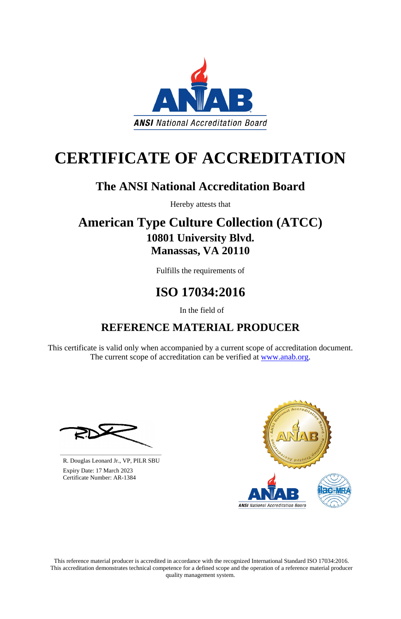This reference material producer is accredited in accordance with the recognized International Standard ISO 17034:2016. This accreditation demonstrates technical competence for a defined scope and the operation of a reference material producer quality management system.

This certificate is valid only when accompanied by a current scope of accreditation document. The current scope of accreditation can be verified at [www.anab.org.](http://www.anab.org/)







# **CERTIFICATE OF ACCREDITATION**

### **The ANSI National Accreditation Board**

Hereby attests that

### **American Type Culture Collection (ATCC) 10801 University Blvd. Manassas, VA 20110**

Fulfills the requirements of

## **ISO 17034:2016**

In the field of

### **REFERENCE MATERIAL PRODUCER**

**\_\_\_\_\_\_\_\_\_\_\_\_\_\_\_\_\_\_\_\_\_\_\_\_\_\_\_\_\_\_** R. Douglas Leonard Jr., VP, PILR SBU

 Expiry Date: 17 March 2023 Certificate Number: AR-1384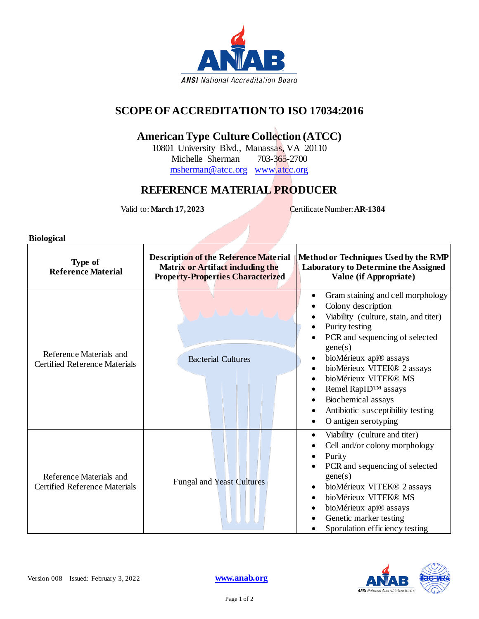

#### **SCOPE OF ACCREDITATION TO ISO 17034:2016**

#### **American Type Culture Collection (ATCC)**

10801 University Blvd., Manassas, VA 20110 Michelle Sherman 703-365-2700 [msherman@atcc.org](mailto:msherman@atcc.org) [www.atcc.org](http://www.atcc.org/)

#### **REFERENCE MATERIAL PRODUCER**

Valid to: **March 17, 2023** Certificate Number: **AR-1384** 

**Biological**

| Type of<br><b>Reference Material</b>                            | <b>Description of the Reference Material</b><br><b>Matrix or Artifact including the</b><br><b>Property-Properties Characterized</b> | Method or Techniques Used by the RMP<br><b>Laboratory to Determine the Assigned</b><br>Value (if Appropriate)                                                                                                                                                                                                                                                                                                                           |
|-----------------------------------------------------------------|-------------------------------------------------------------------------------------------------------------------------------------|-----------------------------------------------------------------------------------------------------------------------------------------------------------------------------------------------------------------------------------------------------------------------------------------------------------------------------------------------------------------------------------------------------------------------------------------|
| Reference Materials and<br><b>Certified Reference Materials</b> | <b>Bacterial Cultures</b>                                                                                                           | Gram staining and cell morphology<br>$\bullet$<br>Colony description<br>Viability (culture, stain, and titer)<br>Purity testing<br>PCR and sequencing of selected<br>gene(s)<br>bioMérieux api® assays<br>$\bullet$<br>bioMérieux VITEK® 2 assays<br>$\bullet$<br>bioMérieux VITEK® MS<br>Remel RapID™ assays<br>$\bullet$<br>Biochemical assays<br>Antibiotic susceptibility testing<br>$\bullet$<br>O antigen serotyping<br>$\bullet$ |
| Reference Materials and<br><b>Certified Reference Materials</b> | <b>Fungal and Yeast Cultures</b>                                                                                                    | Viability (culture and titer)<br>٠<br>Cell and/or colony morphology<br>Purity<br>PCR and sequencing of selected<br>gene(s)<br>bioMérieux VITEK® 2 assays<br>$\bullet$<br>bioMérieux VITEK® MS<br>bioMérieux api® assays<br>Genetic marker testing<br>Sporulation efficiency testing                                                                                                                                                     |